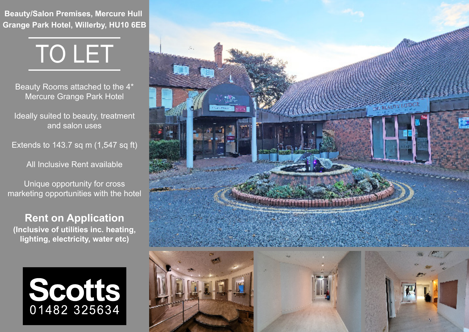**Beauty/Salon Premises, Mercure Hull Grange Park Hotel, Willerby, HU10 6EB**



Beauty Rooms attached to the 4\* Mercure Grange Park Hotel

Ideally suited to beauty, treatment and salon uses

Extends to 143.7 sq m (1,547 sq ft)

All Inclusive Rent available

Unique opportunity for cross marketing opportunities with the hotel

**Rent on Application (Inclusive of utilities inc. heating, lighting, electricity, water etc)**